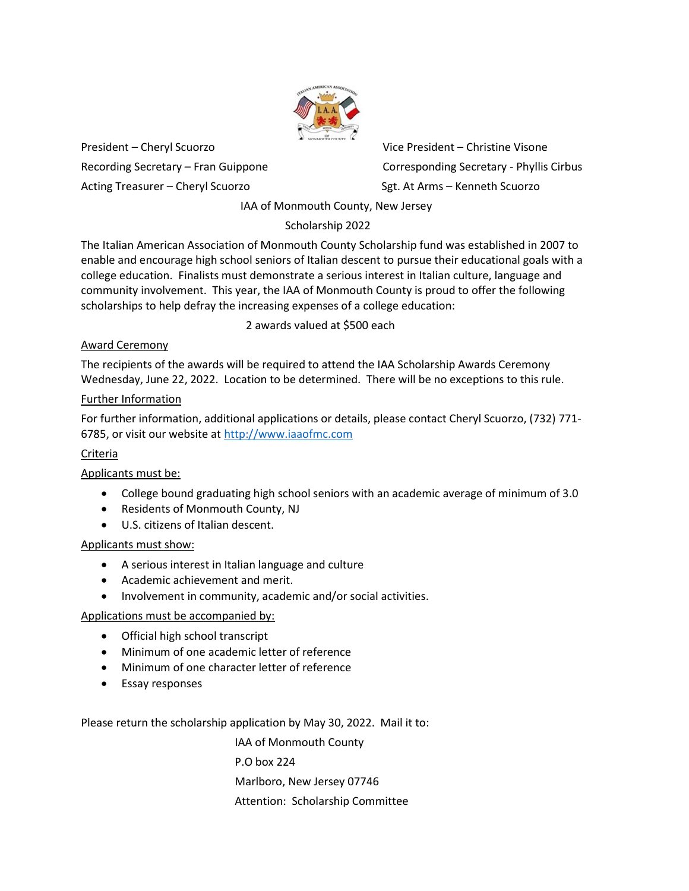

President – Cheryl Scuorzo Vice President – Christine Visone Acting Treasurer – Cheryl Scuorzo Sgt. At Arms – Kenneth Scuorzo

Recording Secretary – Fran Guippone Corresponding Secretary - Phyllis Cirbus

IAA of Monmouth County, New Jersey

# Scholarship 2022

The Italian American Association of Monmouth County Scholarship fund was established in 2007 to enable and encourage high school seniors of Italian descent to pursue their educational goals with a college education. Finalists must demonstrate a serious interest in Italian culture, language and community involvement. This year, the IAA of Monmouth County is proud to offer the following scholarships to help defray the increasing expenses of a college education:

2 awards valued at \$500 each

# Award Ceremony

The recipients of the awards will be required to attend the IAA Scholarship Awards Ceremony Wednesday, June 22, 2022. Location to be determined. There will be no exceptions to this rule.

## Further Information

For further information, additional applications or details, please contact Cheryl Scuorzo, (732) 771- 6785, or visit our website at http://www.iaaofmc.com

# Criteria

# Applicants must be:

- College bound graduating high school seniors with an academic average of minimum of 3.0
- Residents of Monmouth County, NJ
- U.S. citizens of Italian descent.

## Applicants must show:

- A serious interest in Italian language and culture
- Academic achievement and merit.
- Involvement in community, academic and/or social activities.

## Applications must be accompanied by:

- Official high school transcript
- Minimum of one academic letter of reference
- Minimum of one character letter of reference
- Essay responses

Please return the scholarship application by May 30, 2022. Mail it to:

 IAA of Monmouth County P.O box 224 Marlboro, New Jersey 07746 Attention: Scholarship Committee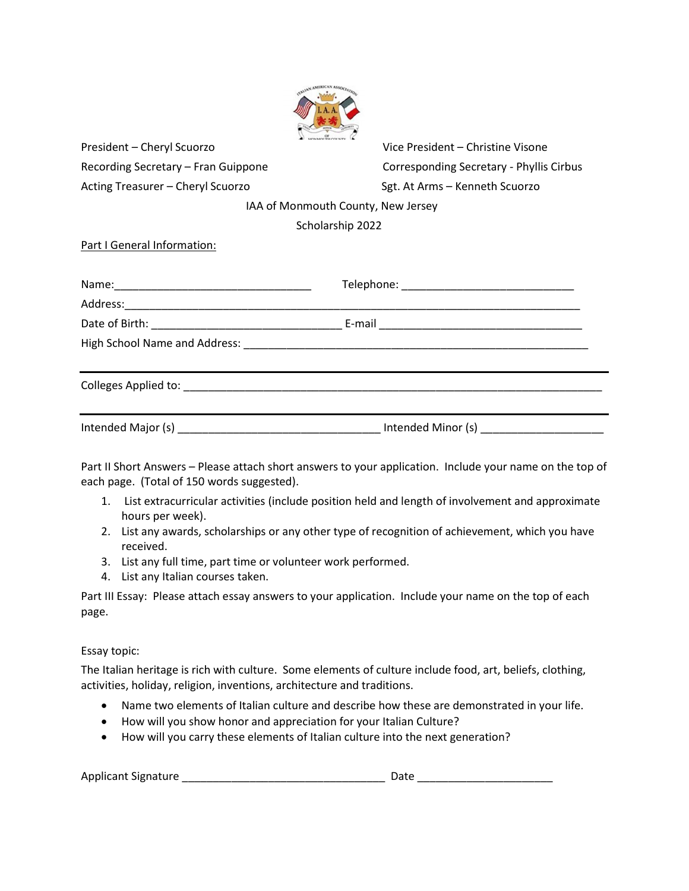| President - Cheryl Scuorzo          | Vice President - Christine Visone        |  |  |  |
|-------------------------------------|------------------------------------------|--|--|--|
| Recording Secretary - Fran Guippone | Corresponding Secretary - Phyllis Cirbus |  |  |  |
| Acting Treasurer - Cheryl Scuorzo   | Sgt. At Arms - Kenneth Scuorzo           |  |  |  |
| IAA of Monmouth County, New Jersey  |                                          |  |  |  |
| Scholarship 2022                    |                                          |  |  |  |
| Part I General Information:         |                                          |  |  |  |
|                                     |                                          |  |  |  |
|                                     |                                          |  |  |  |
|                                     |                                          |  |  |  |
|                                     |                                          |  |  |  |
|                                     |                                          |  |  |  |
|                                     |                                          |  |  |  |

Part II Short Answers – Please attach short answers to your application. Include your name on the top of each page. (Total of 150 words suggested).

- 1. List extracurricular activities (include position held and length of involvement and approximate hours per week).
- 2. List any awards, scholarships or any other type of recognition of achievement, which you have received.
- 3. List any full time, part time or volunteer work performed.
- 4. List any Italian courses taken.

Part III Essay: Please attach essay answers to your application. Include your name on the top of each page.

Essay topic:

The Italian heritage is rich with culture. Some elements of culture include food, art, beliefs, clothing, activities, holiday, religion, inventions, architecture and traditions.

- Name two elements of Italian culture and describe how these are demonstrated in your life.
- How will you show honor and appreciation for your Italian Culture?
- How will you carry these elements of Italian culture into the next generation?

Applicant Signature \_\_\_\_\_\_\_\_\_\_\_\_\_\_\_\_\_\_\_\_\_\_\_\_\_\_\_\_\_\_\_\_\_ Date \_\_\_\_\_\_\_\_\_\_\_\_\_\_\_\_\_\_\_\_\_\_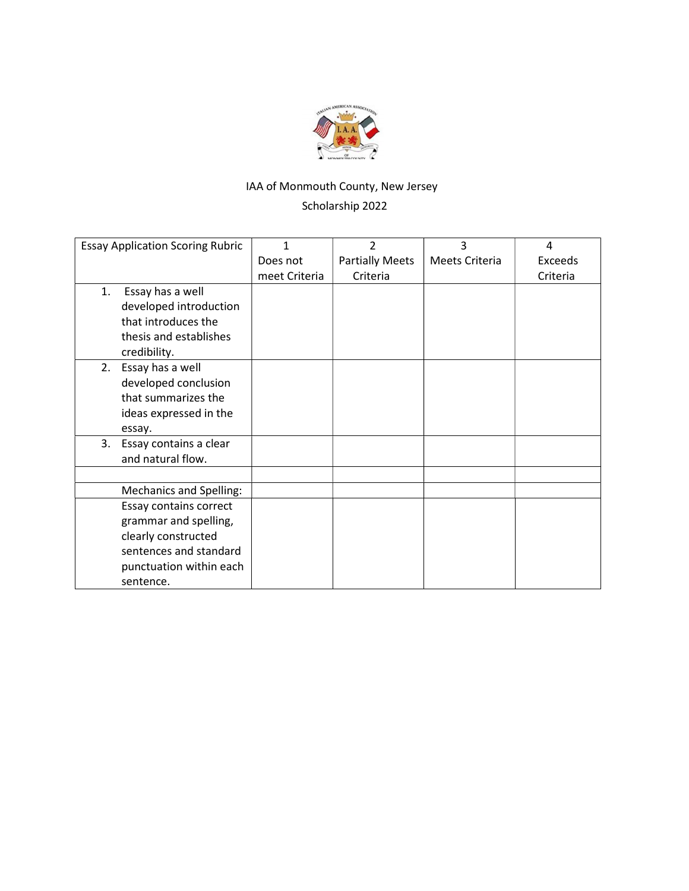

# IAA of Monmouth County, New Jersey Scholarship 2022

| <b>Essay Application Scoring Rubric</b> | 1             | $\overline{2}$         | 3              | 4        |
|-----------------------------------------|---------------|------------------------|----------------|----------|
|                                         | Does not      | <b>Partially Meets</b> | Meets Criteria | Exceeds  |
|                                         | meet Criteria | Criteria               |                | Criteria |
| Essay has a well<br>1.                  |               |                        |                |          |
| developed introduction                  |               |                        |                |          |
| that introduces the                     |               |                        |                |          |
| thesis and establishes                  |               |                        |                |          |
| credibility.                            |               |                        |                |          |
| Essay has a well<br>2.                  |               |                        |                |          |
| developed conclusion                    |               |                        |                |          |
| that summarizes the                     |               |                        |                |          |
| ideas expressed in the                  |               |                        |                |          |
| essay.                                  |               |                        |                |          |
| 3.<br>Essay contains a clear            |               |                        |                |          |
| and natural flow.                       |               |                        |                |          |
|                                         |               |                        |                |          |
| <b>Mechanics and Spelling:</b>          |               |                        |                |          |
| Essay contains correct                  |               |                        |                |          |
| grammar and spelling,                   |               |                        |                |          |
| clearly constructed                     |               |                        |                |          |
| sentences and standard                  |               |                        |                |          |
| punctuation within each                 |               |                        |                |          |
| sentence.                               |               |                        |                |          |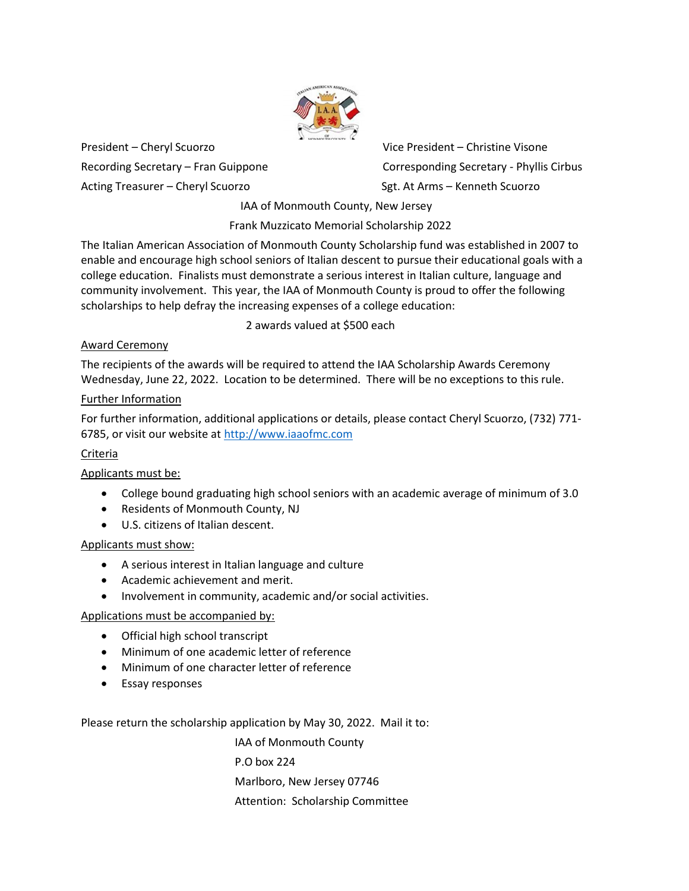

President – Cheryl Scuorzo Vice President – Christine Visone Acting Treasurer – Cheryl Scuorzo Sgt. At Arms – Kenneth Scuorzo

Recording Secretary – Fran Guippone Corresponding Secretary - Phyllis Cirbus

IAA of Monmouth County, New Jersey

Frank Muzzicato Memorial Scholarship 2022

The Italian American Association of Monmouth County Scholarship fund was established in 2007 to enable and encourage high school seniors of Italian descent to pursue their educational goals with a college education. Finalists must demonstrate a serious interest in Italian culture, language and community involvement. This year, the IAA of Monmouth County is proud to offer the following scholarships to help defray the increasing expenses of a college education:

2 awards valued at \$500 each

# Award Ceremony

The recipients of the awards will be required to attend the IAA Scholarship Awards Ceremony Wednesday, June 22, 2022. Location to be determined. There will be no exceptions to this rule.

## Further Information

For further information, additional applications or details, please contact Cheryl Scuorzo, (732) 771- 6785, or visit our website at http://www.iaaofmc.com

# Criteria

# Applicants must be:

- College bound graduating high school seniors with an academic average of minimum of 3.0
- Residents of Monmouth County, NJ
- U.S. citizens of Italian descent.

## Applicants must show:

- A serious interest in Italian language and culture
- Academic achievement and merit.
- Involvement in community, academic and/or social activities.

## Applications must be accompanied by:

- Official high school transcript
- Minimum of one academic letter of reference
- Minimum of one character letter of reference
- Essay responses

Please return the scholarship application by May 30, 2022. Mail it to:

 IAA of Monmouth County P.O box 224 Marlboro, New Jersey 07746 Attention: Scholarship Committee